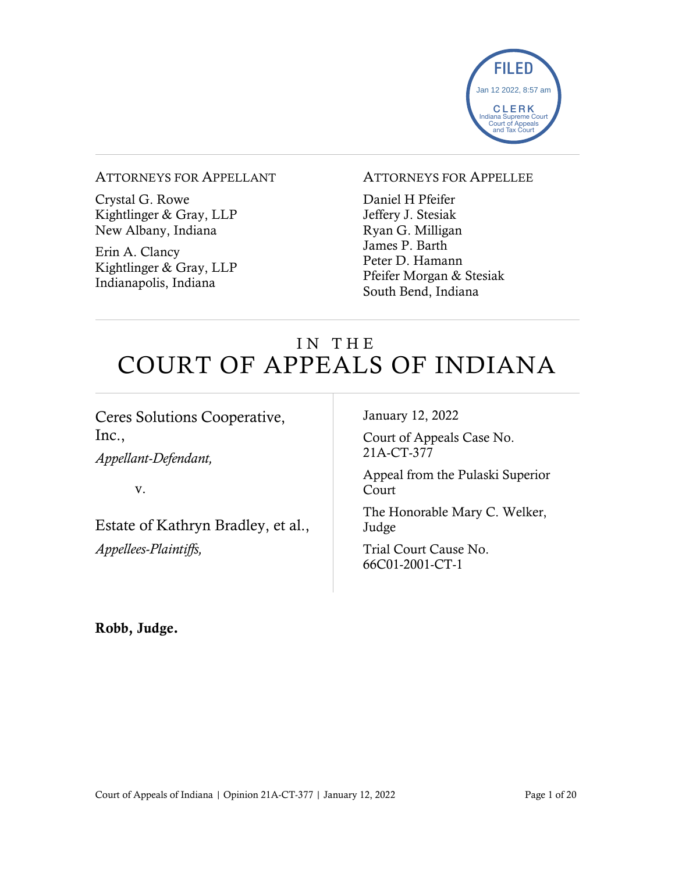

#### ATTORNEYS FOR APPELLANT

Crystal G. Rowe Kightlinger & Gray, LLP New Albany, Indiana

Erin A. Clancy Kightlinger & Gray, LLP Indianapolis, Indiana

#### ATTORNEYS FOR APPELLEE

Daniel H Pfeifer Jeffery J. Stesiak Ryan G. Milligan James P. Barth Peter D. Hamann Pfeifer Morgan & Stesiak South Bend, Indiana

# IN THE COURT OF APPEALS OF INDIANA

Ceres Solutions Cooperative, Inc.,

*Appellant-Defendant,*

v.

Estate of Kathryn Bradley, et al.,

*Appellees-Plaintiffs,*

January 12, 2022

Court of Appeals Case No. 21A-CT-377

Appeal from the Pulaski Superior Court

The Honorable Mary C. Welker, Judge

Trial Court Cause No. 66C01-2001-CT-1

Robb, Judge.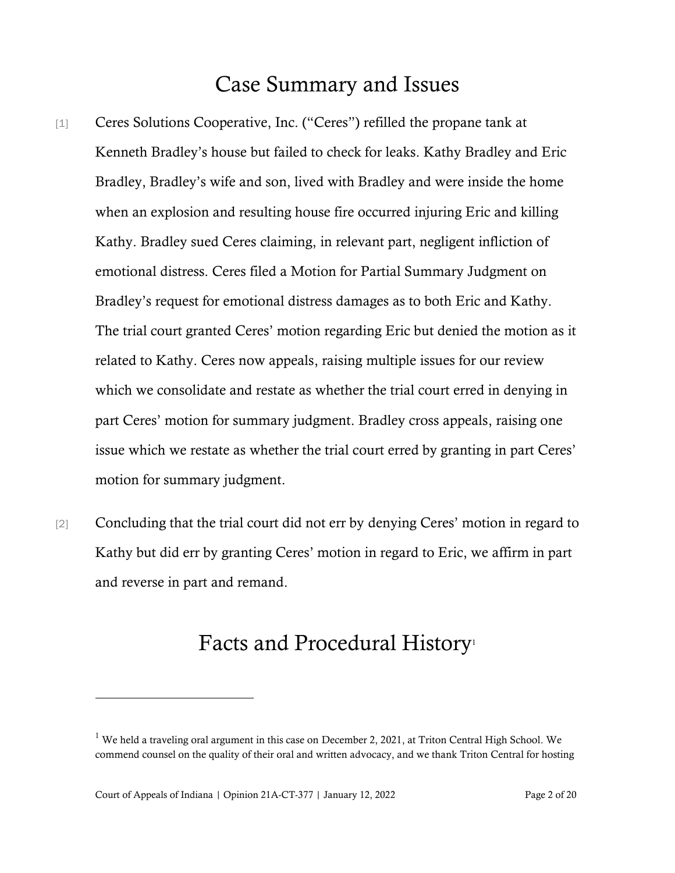## Case Summary and Issues

- [1] Ceres Solutions Cooperative, Inc. ("Ceres") refilled the propane tank at Kenneth Bradley's house but failed to check for leaks. Kathy Bradley and Eric Bradley, Bradley's wife and son, lived with Bradley and were inside the home when an explosion and resulting house fire occurred injuring Eric and killing Kathy. Bradley sued Ceres claiming, in relevant part, negligent infliction of emotional distress. Ceres filed a Motion for Partial Summary Judgment on Bradley's request for emotional distress damages as to both Eric and Kathy. The trial court granted Ceres' motion regarding Eric but denied the motion as it related to Kathy. Ceres now appeals, raising multiple issues for our review which we consolidate and restate as whether the trial court erred in denying in part Ceres' motion for summary judgment. Bradley cross appeals, raising one issue which we restate as whether the trial court erred by granting in part Ceres' motion for summary judgment.
- [2] Concluding that the trial court did not err by denying Ceres' motion in regard to Kathy but did err by granting Ceres' motion in regard to Eric, we affirm in part and reverse in part and remand.

## Facts and Procedural History<sup>1</sup>

<sup>&</sup>lt;sup>1</sup> We held a traveling oral argument in this case on December 2, 2021, at Triton Central High School. We commend counsel on the quality of their oral and written advocacy, and we thank Triton Central for hosting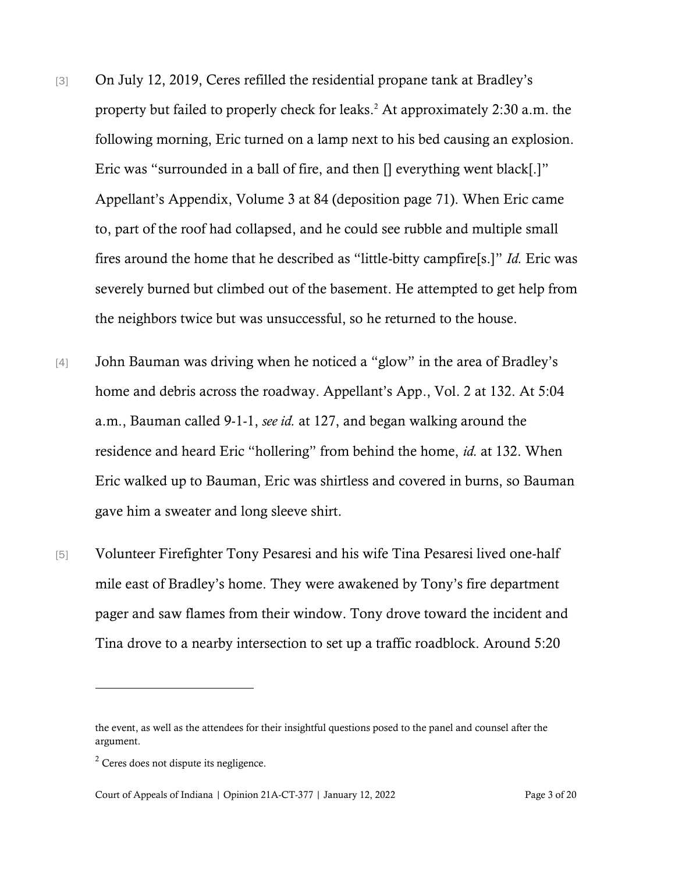- [3] On July 12, 2019, Ceres refilled the residential propane tank at Bradley's property but failed to properly check for leaks.<sup>2</sup> At approximately 2:30 a.m. the following morning, Eric turned on a lamp next to his bed causing an explosion. Eric was "surrounded in a ball of fire, and then [] everything went black[.]" Appellant's Appendix, Volume 3 at 84 (deposition page 71). When Eric came to, part of the roof had collapsed, and he could see rubble and multiple small fires around the home that he described as "little-bitty campfire[s.]" *Id.* Eric was severely burned but climbed out of the basement. He attempted to get help from the neighbors twice but was unsuccessful, so he returned to the house.
- [4] John Bauman was driving when he noticed a "glow" in the area of Bradley's home and debris across the roadway. Appellant's App., Vol. 2 at 132. At 5:04 a.m., Bauman called 9-1-1, *see id.* at 127, and began walking around the residence and heard Eric "hollering" from behind the home, *id.* at 132. When Eric walked up to Bauman, Eric was shirtless and covered in burns, so Bauman gave him a sweater and long sleeve shirt.
- [5] Volunteer Firefighter Tony Pesaresi and his wife Tina Pesaresi lived one-half mile east of Bradley's home. They were awakened by Tony's fire department pager and saw flames from their window. Tony drove toward the incident and Tina drove to a nearby intersection to set up a traffic roadblock. Around 5:20

the event, as well as the attendees for their insightful questions posed to the panel and counsel after the argument.

<sup>2</sup> Ceres does not dispute its negligence.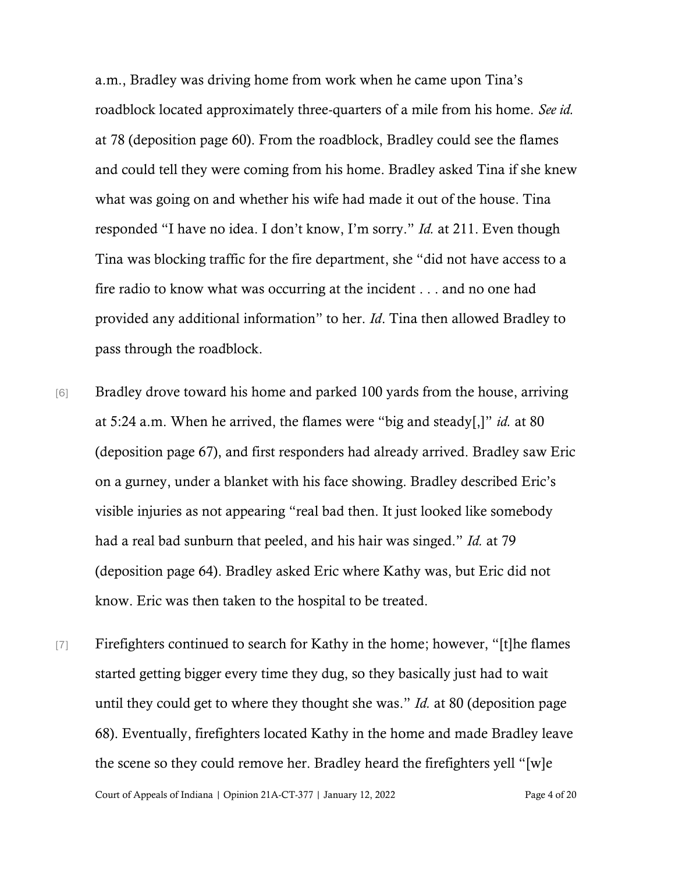a.m., Bradley was driving home from work when he came upon Tina's roadblock located approximately three-quarters of a mile from his home. *See id.* at 78 (deposition page 60). From the roadblock, Bradley could see the flames and could tell they were coming from his home. Bradley asked Tina if she knew what was going on and whether his wife had made it out of the house. Tina responded "I have no idea. I don't know, I'm sorry." *Id.* at 211. Even though Tina was blocking traffic for the fire department, she "did not have access to a fire radio to know what was occurring at the incident . . . and no one had provided any additional information" to her. *Id*. Tina then allowed Bradley to pass through the roadblock.

- [6] Bradley drove toward his home and parked 100 yards from the house, arriving at 5:24 a.m. When he arrived, the flames were "big and steady[,]" *id.* at 80 (deposition page 67), and first responders had already arrived. Bradley saw Eric on a gurney, under a blanket with his face showing. Bradley described Eric's visible injuries as not appearing "real bad then. It just looked like somebody had a real bad sunburn that peeled, and his hair was singed." *Id.* at 79 (deposition page 64). Bradley asked Eric where Kathy was, but Eric did not know. Eric was then taken to the hospital to be treated.
- Court of Appeals of Indiana | Opinion 21A-CT-377 | January 12, 2022 Page 4 of 20 [7] Firefighters continued to search for Kathy in the home; however, "[t]he flames started getting bigger every time they dug, so they basically just had to wait until they could get to where they thought she was." *Id.* at 80 (deposition page 68). Eventually, firefighters located Kathy in the home and made Bradley leave the scene so they could remove her. Bradley heard the firefighters yell "[w]e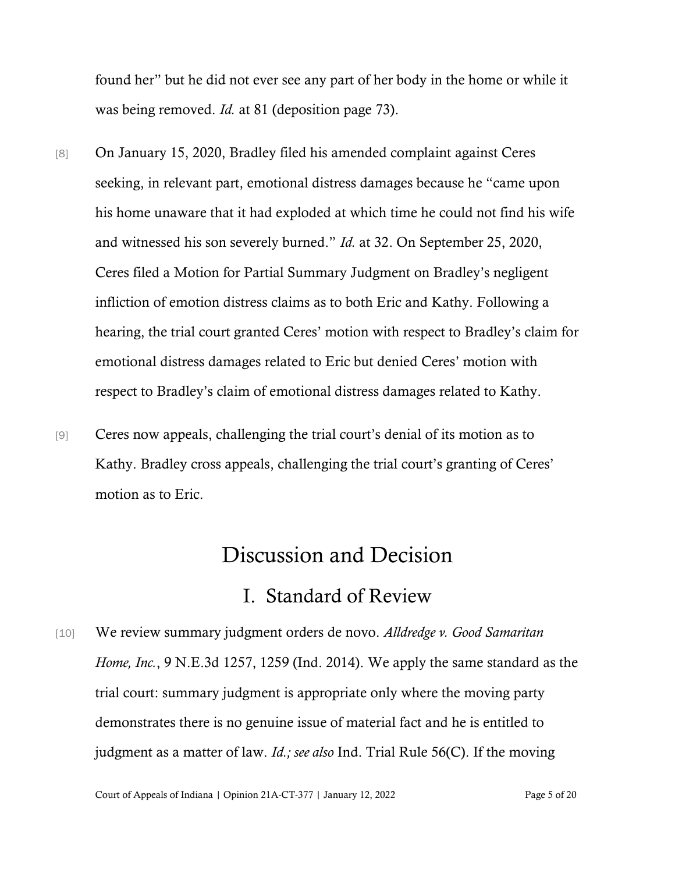found her" but he did not ever see any part of her body in the home or while it was being removed. *Id.* at 81 (deposition page 73).

- [8] On January 15, 2020, Bradley filed his amended complaint against Ceres seeking, in relevant part, emotional distress damages because he "came upon his home unaware that it had exploded at which time he could not find his wife and witnessed his son severely burned." *Id.* at 32. On September 25, 2020, Ceres filed a Motion for Partial Summary Judgment on Bradley's negligent infliction of emotion distress claims as to both Eric and Kathy. Following a hearing, the trial court granted Ceres' motion with respect to Bradley's claim for emotional distress damages related to Eric but denied Ceres' motion with respect to Bradley's claim of emotional distress damages related to Kathy.
- [9] Ceres now appeals, challenging the trial court's denial of its motion as to Kathy. Bradley cross appeals, challenging the trial court's granting of Ceres' motion as to Eric.

# Discussion and Decision

### I. Standard of Review

[10] We review summary judgment orders de novo. *Alldredge v. Good Samaritan Home, Inc.*, 9 N.E.3d 1257, 1259 (Ind. 2014). We apply the same standard as the trial court: summary judgment is appropriate only where the moving party demonstrates there is no genuine issue of material fact and he is entitled to judgment as a matter of law. *Id.; see also* Ind. Trial Rule 56(C). If the moving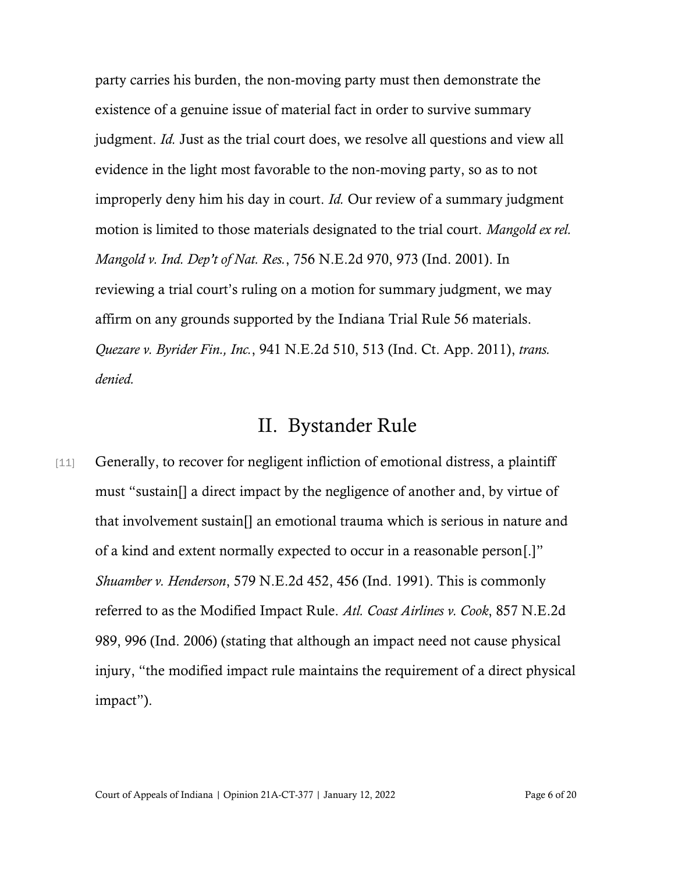party carries his burden, the non-moving party must then demonstrate the existence of a genuine issue of material fact in order to survive summary judgment. *Id.* Just as the trial court does, we resolve all questions and view all evidence in the light most favorable to the non-moving party, so as to not improperly deny him his day in court. *Id.* Our review of a summary judgment motion is limited to those materials designated to the trial court. *Mangold ex rel. Mangold v. Ind. Dep't of Nat. Res.*, 756 N.E.2d 970, 973 (Ind. 2001). In reviewing a trial court's ruling on a motion for summary judgment, we may affirm on any grounds supported by the Indiana Trial Rule 56 materials. *Quezare v. Byrider Fin., Inc.*, 941 N.E.2d 510, 513 (Ind. Ct. App. 2011), *trans. denied.*

### II. Bystander Rule

[11] Generally, to recover for negligent infliction of emotional distress, a plaintiff must "sustain[] a direct impact by the negligence of another and, by virtue of that involvement sustain[] an emotional trauma which is serious in nature and of a kind and extent normally expected to occur in a reasonable person[.]" *Shuamber v. Henderson*, 579 N.E.2d 452, 456 (Ind. 1991). This is commonly referred to as the Modified Impact Rule. *Atl. Coast Airlines v. Cook*, 857 N.E.2d 989, 996 (Ind. 2006) (stating that although an impact need not cause physical injury, "the modified impact rule maintains the requirement of a direct physical impact").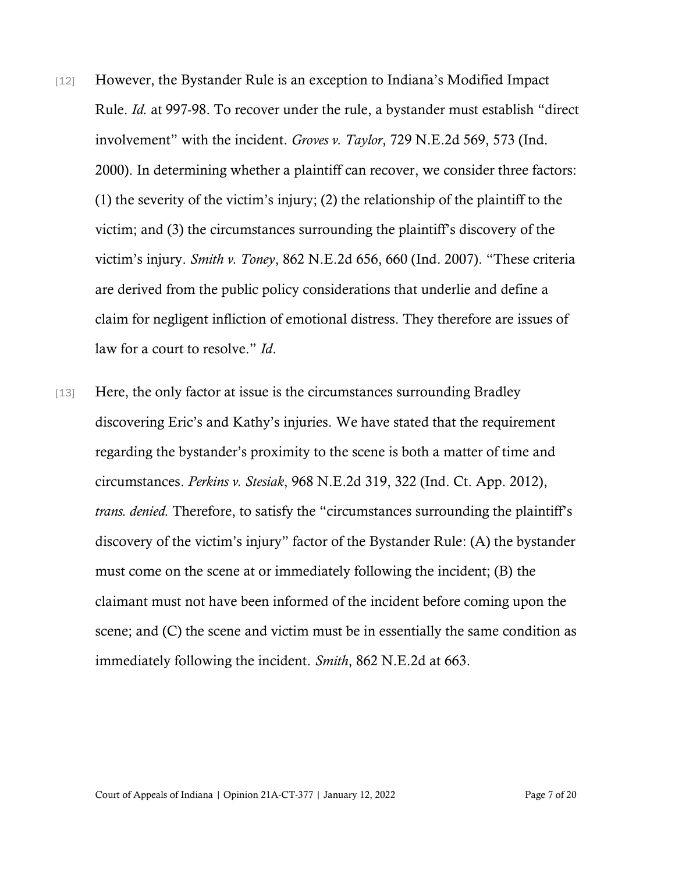- [12] However, the Bystander Rule is an exception to Indiana's Modified Impact Rule. *Id.* at 997-98. To recover under the rule, a bystander must establish "direct involvement" with the incident. *Groves v. Taylor*, 729 N.E.2d 569, 573 (Ind. 2000). In determining whether a plaintiff can recover, we consider three factors: (1) the severity of the victim's injury; (2) the relationship of the plaintiff to the victim; and (3) the circumstances surrounding the plaintiff's discovery of the victim's injury. *Smith v. Toney*, 862 N.E.2d 656, 660 (Ind. 2007). "These criteria are derived from the public policy considerations that underlie and define a claim for negligent infliction of emotional distress. They therefore are issues of law for a court to resolve." *Id*.
- [13] Here, the only factor at issue is the circumstances surrounding Bradley discovering Eric's and Kathy's injuries. We have stated that the requirement regarding the bystander's proximity to the scene is both a matter of time and circumstances. *Perkins v. Stesiak*, 968 N.E.2d 319, 322 (Ind. Ct. App. 2012), *trans. denied.* Therefore, to satisfy the "circumstances surrounding the plaintiff's discovery of the victim's injury" factor of the Bystander Rule: (A) the bystander must come on the scene at or immediately following the incident; (B) the claimant must not have been informed of the incident before coming upon the scene; and (C) the scene and victim must be in essentially the same condition as immediately following the incident. *Smith*, 862 N.E.2d at 663.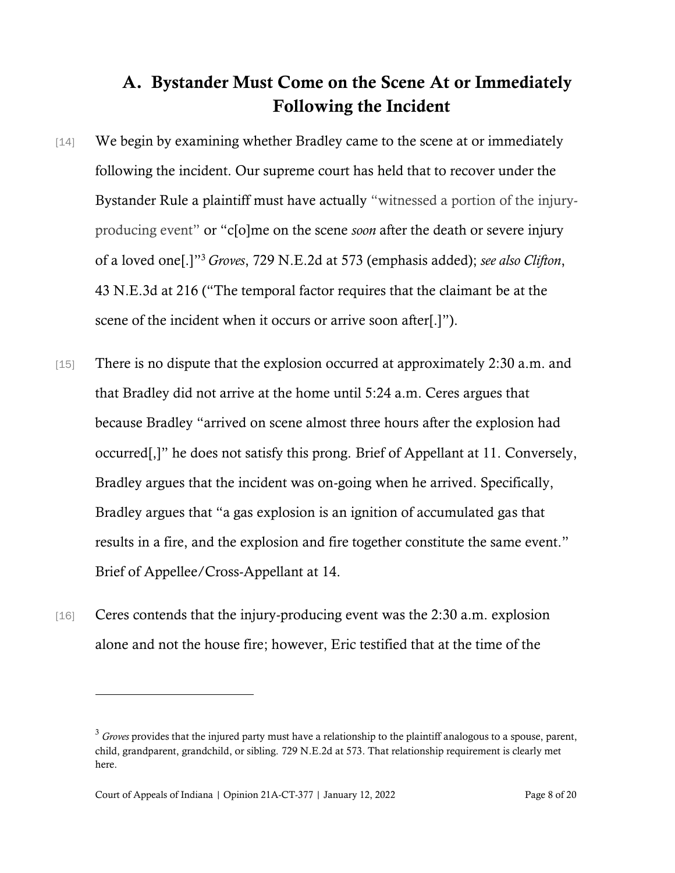## A. Bystander Must Come on the Scene At or Immediately Following the Incident

- [14] We begin by examining whether Bradley came to the scene at or immediately following the incident. Our supreme court has held that to recover under the Bystander Rule a plaintiff must have actually "witnessed a portion of the injuryproducing event" or "c[o]me on the scene *soon* after the death or severe injury of a loved one[.]"<sup>3</sup> *Groves*, 729 N.E.2d at 573 (emphasis added); *see also Clifton*, 43 N.E.3d at 216 ("The temporal factor requires that the claimant be at the scene of the incident when it occurs or arrive soon after[.]").
- [15] There is no dispute that the explosion occurred at approximately 2:30 a.m. and that Bradley did not arrive at the home until 5:24 a.m. Ceres argues that because Bradley "arrived on scene almost three hours after the explosion had occurred[,]" he does not satisfy this prong. Brief of Appellant at 11. Conversely, Bradley argues that the incident was on-going when he arrived. Specifically, Bradley argues that "a gas explosion is an ignition of accumulated gas that results in a fire, and the explosion and fire together constitute the same event." Brief of Appellee/Cross-Appellant at 14.
- [16] Ceres contends that the injury-producing event was the 2:30 a.m. explosion alone and not the house fire; however, Eric testified that at the time of the

<sup>&</sup>lt;sup>3</sup> *Groves* provides that the injured party must have a relationship to the plaintiff analogous to a spouse, parent, child, grandparent, grandchild, or sibling. 729 N.E.2d at 573. That relationship requirement is clearly met here.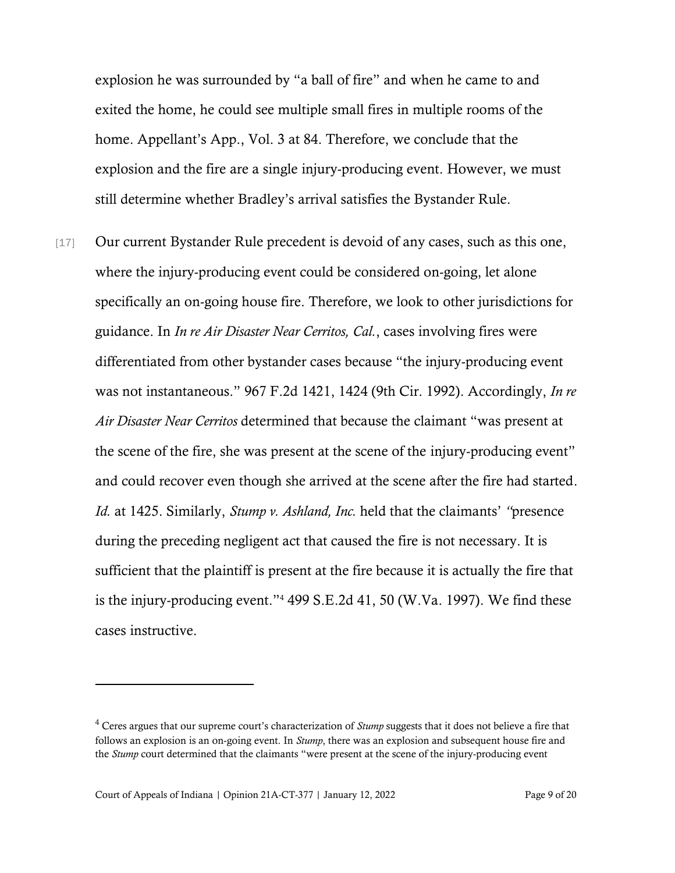explosion he was surrounded by "a ball of fire" and when he came to and exited the home, he could see multiple small fires in multiple rooms of the home. Appellant's App., Vol. 3 at 84. Therefore, we conclude that the explosion and the fire are a single injury-producing event. However, we must still determine whether Bradley's arrival satisfies the Bystander Rule.

[17] Our current Bystander Rule precedent is devoid of any cases, such as this one, where the injury-producing event could be considered on-going, let alone specifically an on-going house fire. Therefore, we look to other jurisdictions for guidance. In *In re Air Disaster Near Cerritos, Cal.*, cases involving fires were differentiated from other bystander cases because "the injury-producing event was not instantaneous." 967 F.2d 1421, 1424 (9th Cir. 1992). Accordingly, *In re Air Disaster Near Cerritos* determined that because the claimant "was present at the scene of the fire, she was present at the scene of the injury-producing event" and could recover even though she arrived at the scene after the fire had started. *Id.* at 1425. Similarly, *Stump v. Ashland, Inc.* held that the claimants' *"*presence during the preceding negligent act that caused the fire is not necessary. It is sufficient that the plaintiff is present at the fire because it is actually the fire that is the injury-producing event."<sup>4</sup> 499 S.E.2d 41, 50 (W.Va. 1997). We find these cases instructive.

<sup>&</sup>lt;sup>4</sup> Ceres argues that our supreme court's characterization of *Stump* suggests that it does not believe a fire that follows an explosion is an on-going event. In *Stump*, there was an explosion and subsequent house fire and the *Stump* court determined that the claimants "were present at the scene of the injury-producing event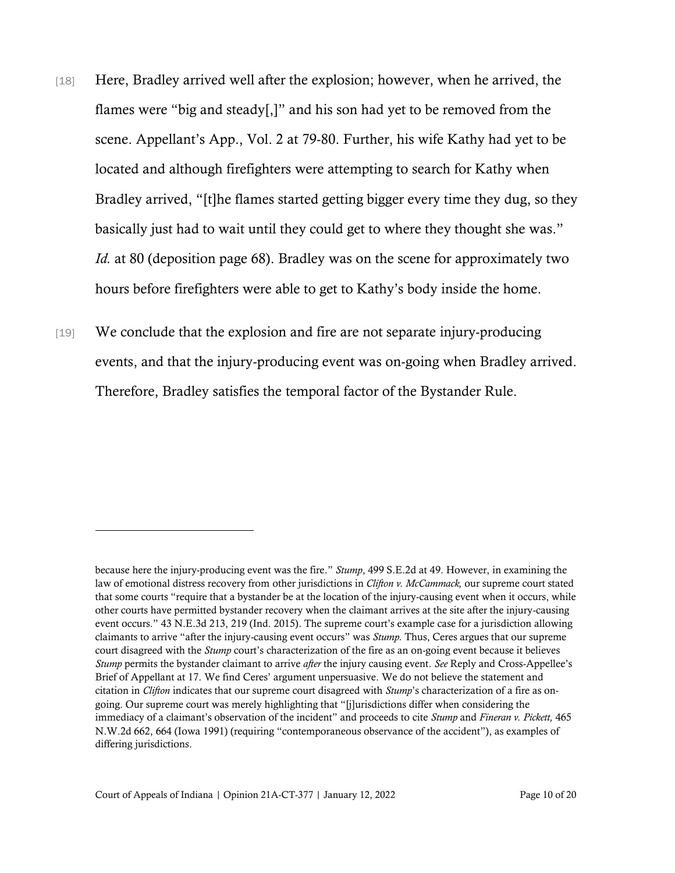- [18] Here, Bradley arrived well after the explosion; however, when he arrived, the flames were "big and steady[,]" and his son had yet to be removed from the scene. Appellant's App., Vol. 2 at 79-80. Further, his wife Kathy had yet to be located and although firefighters were attempting to search for Kathy when Bradley arrived, "[t]he flames started getting bigger every time they dug, so they basically just had to wait until they could get to where they thought she was." *Id.* at 80 (deposition page 68). Bradley was on the scene for approximately two hours before firefighters were able to get to Kathy's body inside the home.
- [19] We conclude that the explosion and fire are not separate injury-producing events, and that the injury-producing event was on-going when Bradley arrived. Therefore, Bradley satisfies the temporal factor of the Bystander Rule.

because here the injury-producing event was the fire." *Stump*, 499 S.E.2d at 49. However, in examining the law of emotional distress recovery from other jurisdictions in *Clifton v. McCammack,* our supreme court stated that some courts "require that a bystander be at the location of the injury-causing event when it occurs, while other courts have permitted bystander recovery when the claimant arrives at the site after the injury-causing event occurs." 43 N.E.3d 213, 219 (Ind. 2015). The supreme court's example case for a jurisdiction allowing claimants to arrive "after the injury-causing event occurs" was *Stump.* Thus, Ceres argues that our supreme court disagreed with the *Stump* court's characterization of the fire as an on-going event because it believes *Stump* permits the bystander claimant to arrive *after* the injury causing event. *See* Reply and Cross-Appellee's Brief of Appellant at 17. We find Ceres' argument unpersuasive. We do not believe the statement and citation in *Clifton* indicates that our supreme court disagreed with *Stump*'s characterization of a fire as ongoing. Our supreme court was merely highlighting that "[j]urisdictions differ when considering the immediacy of a claimant's observation of the incident" and proceeds to cite *Stump* and *Fineran v. Pickett,* 465 N.W.2d 662, 664 (Iowa 1991) (requiring "contemporaneous observance of the accident"), as examples of differing jurisdictions.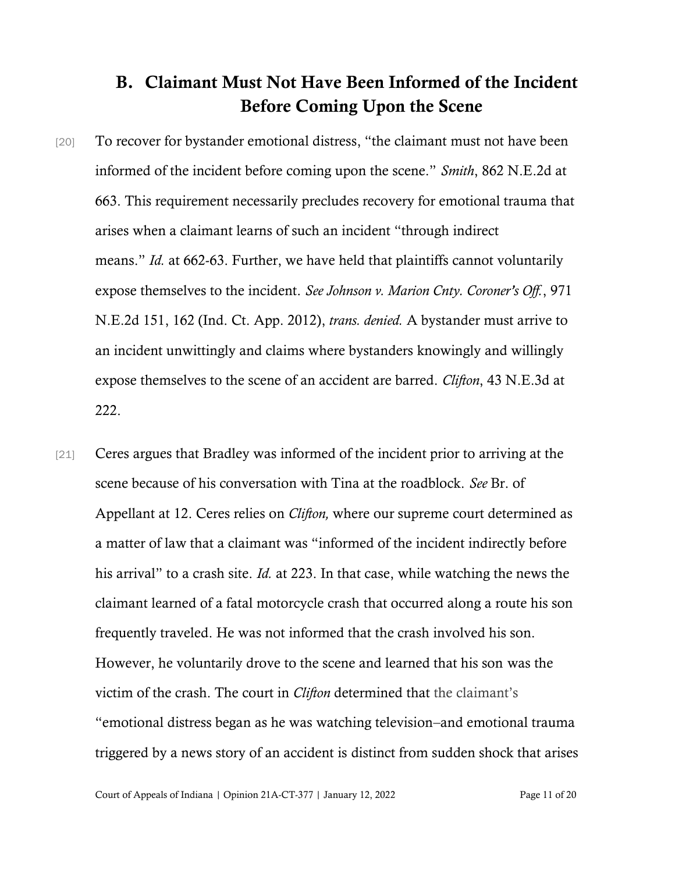### B. Claimant Must Not Have Been Informed of the Incident Before Coming Upon the Scene

- [20] To recover for bystander emotional distress, "the claimant must not have been informed of the incident before coming upon the scene." *Smith*, 862 N.E.2d at 663. This requirement necessarily precludes recovery for emotional trauma that arises when a claimant learns of such an incident "through indirect means." *Id.* at 662-63. Further, we have held that plaintiffs cannot voluntarily expose themselves to the incident. *See Johnson v. Marion Cnty. Coroner's Off.*, 971 N.E.2d 151, 162 (Ind. Ct. App. 2012), *trans. denied.* A bystander must arrive to an incident unwittingly and claims where bystanders knowingly and willingly expose themselves to the scene of an accident are barred. *Clifton*, 43 N.E.3d at 222.
- [21] Ceres argues that Bradley was informed of the incident prior to arriving at the scene because of his conversation with Tina at the roadblock. *See* Br. of Appellant at 12. Ceres relies on *Clifton,* where our supreme court determined as a matter of law that a claimant was "informed of the incident indirectly before his arrival" to a crash site. *Id.* at 223. In that case, while watching the news the claimant learned of a fatal motorcycle crash that occurred along a route his son frequently traveled. He was not informed that the crash involved his son. However, he voluntarily drove to the scene and learned that his son was the victim of the crash. The court in *Clifton* determined that the claimant's "emotional distress began as he was watching television–and emotional trauma triggered by a news story of an accident is distinct from sudden shock that arises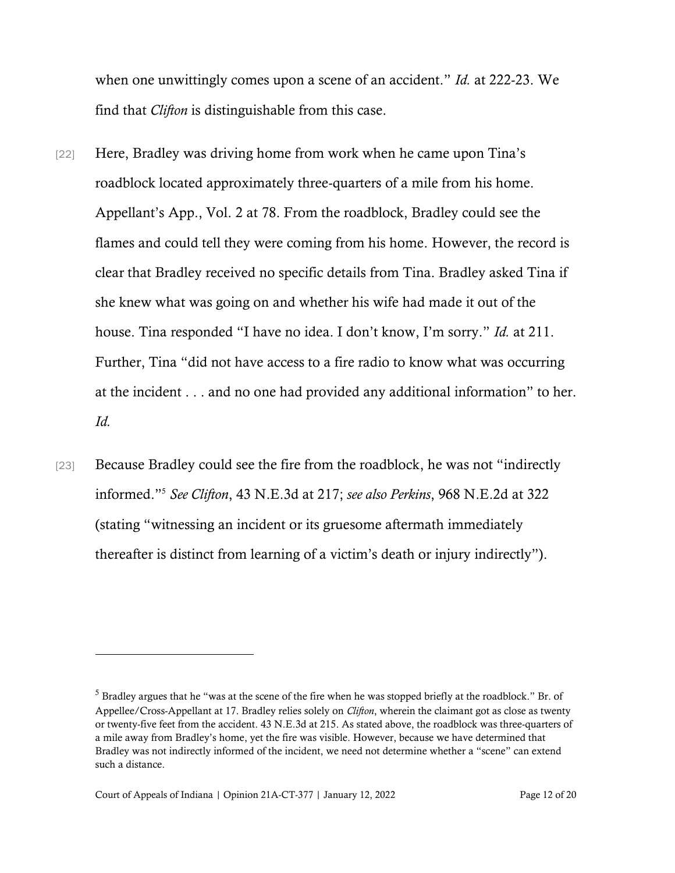when one unwittingly comes upon a scene of an accident." *Id.* at 222-23. We find that *Clifton* is distinguishable from this case.

- [22] Here, Bradley was driving home from work when he came upon Tina's roadblock located approximately three-quarters of a mile from his home. Appellant's App., Vol. 2 at 78. From the roadblock, Bradley could see the flames and could tell they were coming from his home. However, the record is clear that Bradley received no specific details from Tina. Bradley asked Tina if she knew what was going on and whether his wife had made it out of the house. Tina responded "I have no idea. I don't know, I'm sorry." *Id.* at 211. Further, Tina "did not have access to a fire radio to know what was occurring at the incident . . . and no one had provided any additional information" to her. *Id.*
- [23] Because Bradley could see the fire from the roadblock, he was not "indirectly" informed."<sup>5</sup> *See Clifton*, 43 N.E.3d at 217; *see also Perkins*, 968 N.E.2d at 322 (stating "witnessing an incident or its gruesome aftermath immediately thereafter is distinct from learning of a victim's death or injury indirectly").

<sup>&</sup>lt;sup>5</sup> Bradley argues that he "was at the scene of the fire when he was stopped briefly at the roadblock." Br. of Appellee/Cross-Appellant at 17. Bradley relies solely on *Clifton*, wherein the claimant got as close as twenty or twenty-five feet from the accident. 43 N.E.3d at 215. As stated above, the roadblock was three-quarters of a mile away from Bradley's home, yet the fire was visible. However, because we have determined that Bradley was not indirectly informed of the incident, we need not determine whether a "scene" can extend such a distance.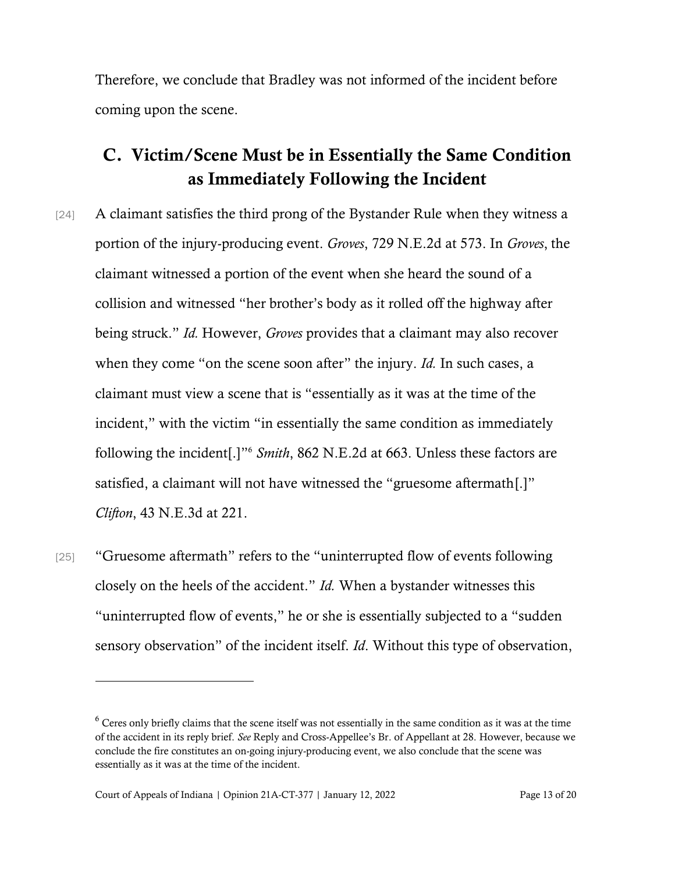Therefore, we conclude that Bradley was not informed of the incident before coming upon the scene.

## C. Victim/Scene Must be in Essentially the Same Condition as Immediately Following the Incident

- [24] A claimant satisfies the third prong of the Bystander Rule when they witness a portion of the injury-producing event. *Groves*, 729 N.E.2d at 573. In *Groves*, the claimant witnessed a portion of the event when she heard the sound of a collision and witnessed "her brother's body as it rolled off the highway after being struck." *Id.* However, *Groves* provides that a claimant may also recover when they come "on the scene soon after" the injury. *Id.* In such cases, a claimant must view a scene that is "essentially as it was at the time of the incident," with the victim "in essentially the same condition as immediately following the incident[.]" <sup>6</sup> *Smith*, 862 N.E.2d at 663. Unless these factors are satisfied, a claimant will not have witnessed the "gruesome aftermath[.]" *Clifton*, 43 N.E.3d at 221.
- [25] "Gruesome aftermath" refers to the "uninterrupted flow of events following closely on the heels of the accident." *Id.* When a bystander witnesses this "uninterrupted flow of events," he or she is essentially subjected to a "sudden sensory observation" of the incident itself. *Id*. Without this type of observation,

<sup>&</sup>lt;sup>6</sup> Ceres only briefly claims that the scene itself was not essentially in the same condition as it was at the time of the accident in its reply brief. *See* Reply and Cross-Appellee's Br. of Appellant at 28. However, because we conclude the fire constitutes an on-going injury-producing event, we also conclude that the scene was essentially as it was at the time of the incident.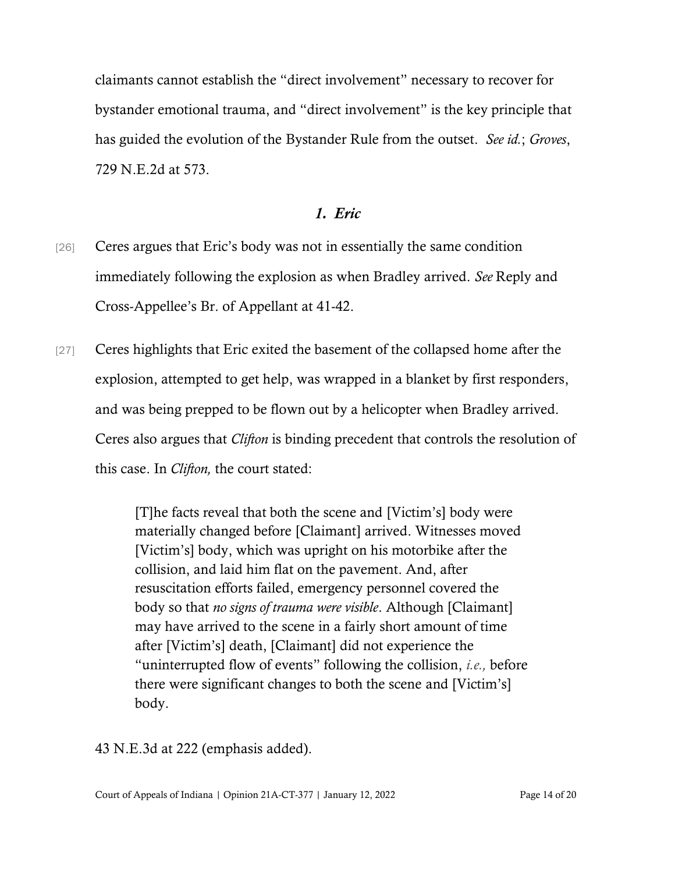claimants cannot establish the "direct involvement" necessary to recover for bystander emotional trauma, and "direct involvement" is the key principle that has guided the evolution of the Bystander Rule from the outset. *See id.*; *Groves*, 729 N.E.2d at 573.

### *1. Eric*

- [26] Ceres argues that Eric's body was not in essentially the same condition immediately following the explosion as when Bradley arrived. *See* Reply and Cross-Appellee's Br. of Appellant at 41-42.
- [27] Ceres highlights that Eric exited the basement of the collapsed home after the explosion, attempted to get help, was wrapped in a blanket by first responders, and was being prepped to be flown out by a helicopter when Bradley arrived. Ceres also argues that *Clifton* is binding precedent that controls the resolution of this case. In *Clifton,* the court stated:

[T]he facts reveal that both the scene and [Victim's] body were materially changed before [Claimant] arrived. Witnesses moved [Victim's] body, which was upright on his motorbike after the collision, and laid him flat on the pavement. And, after resuscitation efforts failed, emergency personnel covered the body so that *no signs of trauma were visible*. Although [Claimant] may have arrived to the scene in a fairly short amount of time after [Victim's] death, [Claimant] did not experience the "uninterrupted flow of events" following the collision, *i.e.,* before there were significant changes to both the scene and [Victim's] body.

43 N.E.3d at 222 (emphasis added).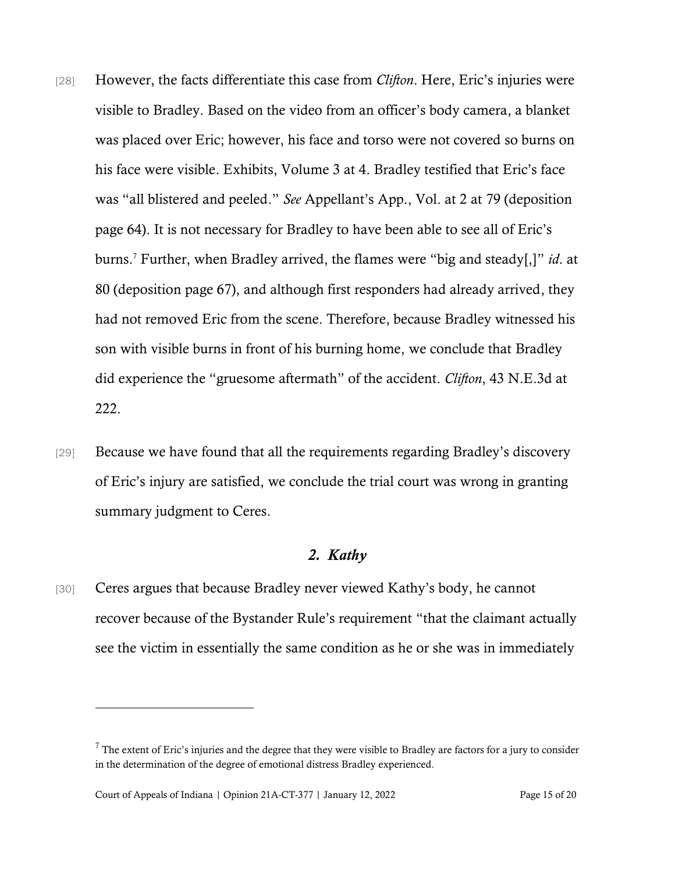- [28] However, the facts differentiate this case from *Clifton*. Here, Eric's injuries were visible to Bradley. Based on the video from an officer's body camera, a blanket was placed over Eric; however, his face and torso were not covered so burns on his face were visible. Exhibits, Volume 3 at 4. Bradley testified that Eric's face was "all blistered and peeled." *See* Appellant's App., Vol. at 2 at 79 (deposition page 64). It is not necessary for Bradley to have been able to see all of Eric's burns.<sup>7</sup> Further, when Bradley arrived, the flames were "big and steady[,]" *id*. at 80 (deposition page 67), and although first responders had already arrived, they had not removed Eric from the scene. Therefore, because Bradley witnessed his son with visible burns in front of his burning home, we conclude that Bradley did experience the "gruesome aftermath" of the accident. *Clifton*, 43 N.E.3d at 222.
- [29] Because we have found that all the requirements regarding Bradley's discovery of Eric's injury are satisfied, we conclude the trial court was wrong in granting summary judgment to Ceres.

### *2. Kathy*

[30] Ceres argues that because Bradley never viewed Kathy's body, he cannot recover because of the Bystander Rule's requirement "that the claimant actually see the victim in essentially the same condition as he or she was in immediately

 $<sup>7</sup>$  The extent of Eric's injuries and the degree that they were visible to Bradley are factors for a jury to consider</sup> in the determination of the degree of emotional distress Bradley experienced.

Court of Appeals of Indiana | Opinion 21A-CT-377 | January 12, 2022 Page 15 of 20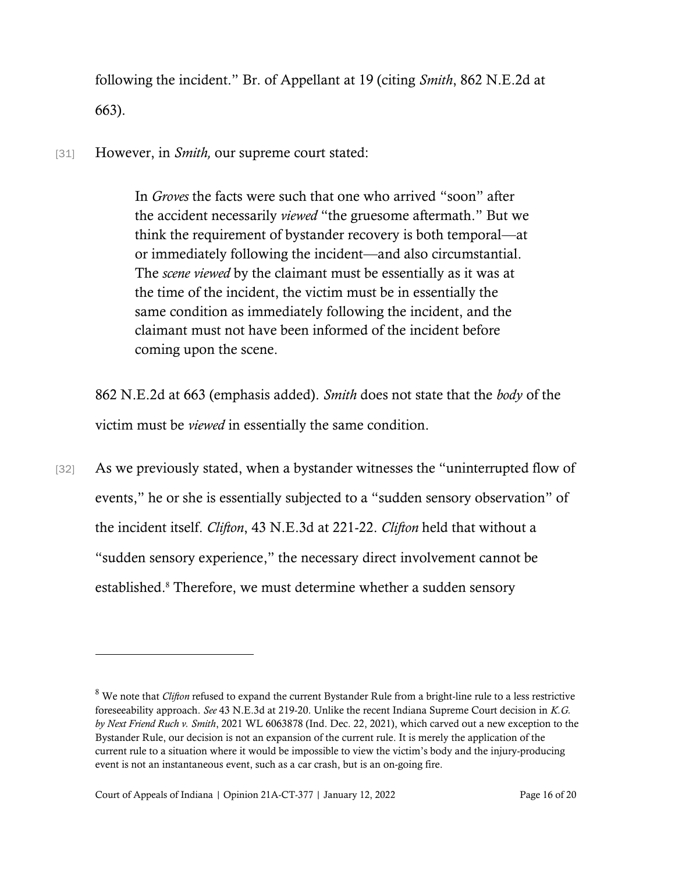following the incident." Br. of Appellant at 19 (citing *Smith*, 862 N.E.2d at 663).

[31] However, in *Smith,* our supreme court stated:

In *[Groves](https://1.next.westlaw.com/Link/Document/FullText?findType=Y&serNum=2000376679&originatingDoc=Id4674bbcd1a511dbb035bac3a32ef289&refType=RP&originationContext=document&transitionType=DocumentItem&ppcid=67ac30674d9544b0b0b6210cd163be4b&contextData=(sc.Search))* the facts were such that one who arrived "soon" after the accident necessarily *viewed* "the gruesome aftermath." But we think the requirement of bystander recovery is both temporal—at or immediately following the incident—and also circumstantial. The *scene viewed* by the claimant must be essentially as it was at the time of the incident, the victim must be in essentially the same condition as immediately following the incident, and the claimant must not have been informed of the incident before coming upon the scene.

862 N.E.2d at 663 (emphasis added). *Smith* does not state that the *body* of the victim must be *viewed* in essentially the same condition.

[32] As we previously stated, when a bystander witnesses the "uninterrupted flow of events," he or she is essentially subjected to a "sudden sensory observation" of the incident itself. *Clifton*, 43 N.E.3d at 221-22. *Clifton* held that without a "sudden sensory experience," the necessary direct involvement cannot be established.<sup>8</sup> Therefore, we must determine whether a sudden sensory

<sup>8</sup> We note that *Clifton* refused to expand the current Bystander Rule from a bright-line rule to a less restrictive foreseeability approach. *See* 43 N.E.3d at 219-20. Unlike the recent Indiana Supreme Court decision in *K.G. by Next Friend Ruch v. Smith*, 2021 WL 6063878 (Ind. Dec. 22, 2021), which carved out a new exception to the Bystander Rule, our decision is not an expansion of the current rule. It is merely the application of the current rule to a situation where it would be impossible to view the victim's body and the injury-producing event is not an instantaneous event, such as a car crash, but is an on-going fire.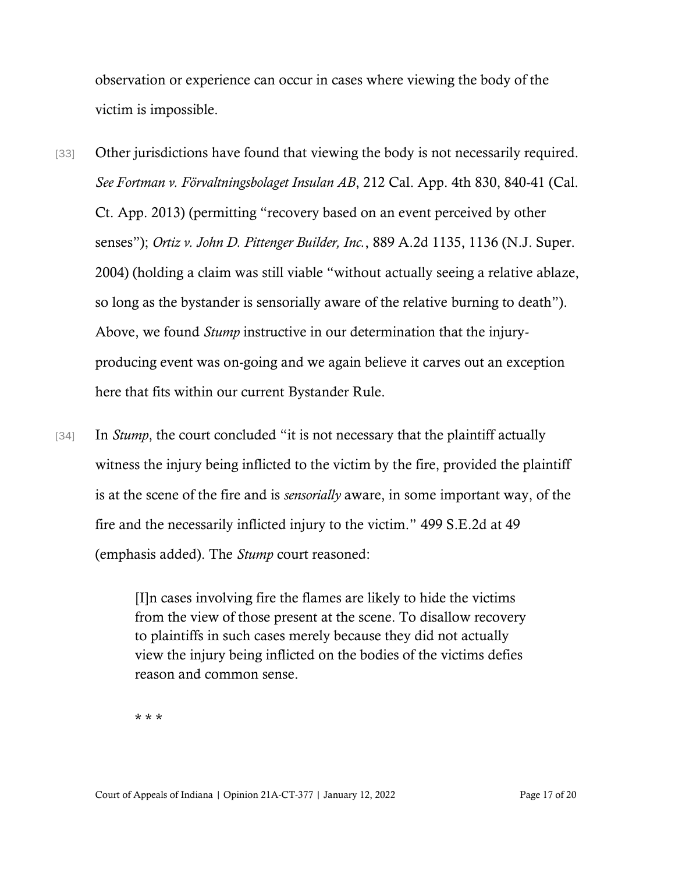observation or experience can occur in cases where viewing the body of the victim is impossible.

- [33] Other jurisdictions have found that viewing the body is not necessarily required. *See Fortman v. Förvaltningsbolaget Insulan AB*, 212 Cal. App. 4th 830, 840-41 (Cal. Ct. App. 2013) (permitting "recovery based on an event perceived by other senses"); *Ortiz v. John D. Pittenger Builder, Inc.*, 889 A.2d 1135, 1136 (N.J. Super. 2004) (holding a claim was still viable "without actually seeing a relative ablaze, so long as the bystander is sensorially aware of the relative burning to death"). Above, we found *Stump* instructive in our determination that the injuryproducing event was on-going and we again believe it carves out an exception here that fits within our current Bystander Rule.
- [34] In *Stump*, the court concluded "it is not necessary that the plaintiff actually witness the injury being inflicted to the victim by the fire, provided the plaintiff is at the scene of the fire and is *sensorially* aware, in some important way, of the fire and the necessarily inflicted injury to the victim." 499 S.E.2d at 49 (emphasis added). The *Stump* court reasoned:

[I]n cases involving fire the flames are likely to hide the victims from the view of those present at the scene. To disallow recovery to plaintiffs in such cases merely because they did not actually view the injury being inflicted on the bodies of the victims defies reason and common sense.

\* \* \*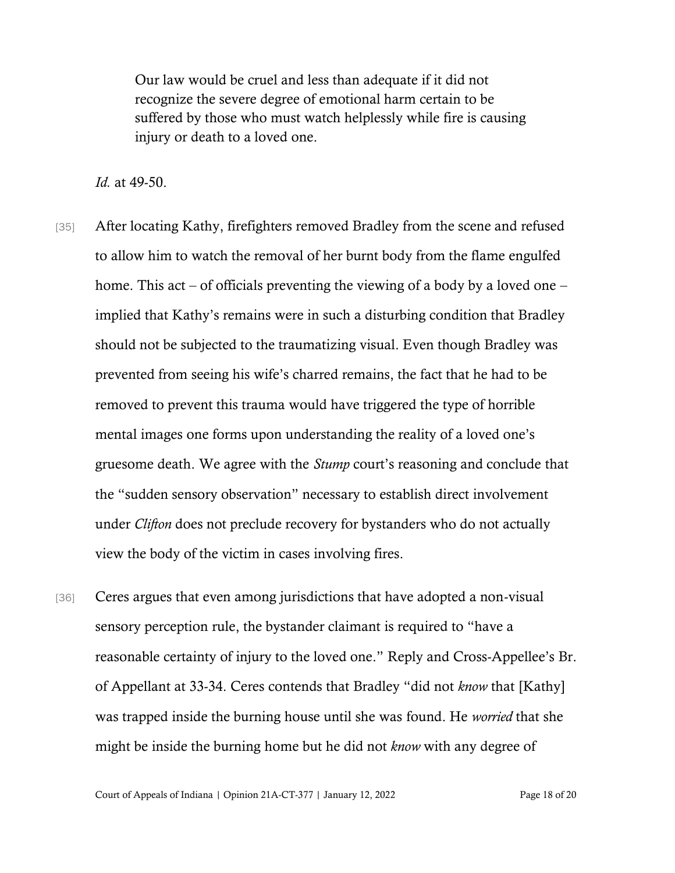Our law would be cruel and less than adequate if it did not recognize the severe degree of emotional harm certain to be suffered by those who must watch helplessly while fire is causing injury or death to a loved one.

*Id.* at 49-50.

- [35] After locating Kathy, firefighters removed Bradley from the scene and refused to allow him to watch the removal of her burnt body from the flame engulfed home. This act – of officials preventing the viewing of a body by a loved one – implied that Kathy's remains were in such a disturbing condition that Bradley should not be subjected to the traumatizing visual. Even though Bradley was prevented from seeing his wife's charred remains, the fact that he had to be removed to prevent this trauma would have triggered the type of horrible mental images one forms upon understanding the reality of a loved one's gruesome death. We agree with the *Stump* court's reasoning and conclude that the "sudden sensory observation" necessary to establish direct involvement under *Clifton* does not preclude recovery for bystanders who do not actually view the body of the victim in cases involving fires.
- [36] Ceres argues that even among jurisdictions that have adopted a non-visual sensory perception rule, the bystander claimant is required to "have a reasonable certainty of injury to the loved one." Reply and Cross-Appellee's Br. of Appellant at 33-34. Ceres contends that Bradley "did not *know* that [Kathy] was trapped inside the burning house until she was found. He *worried* that she might be inside the burning home but he did not *know* with any degree of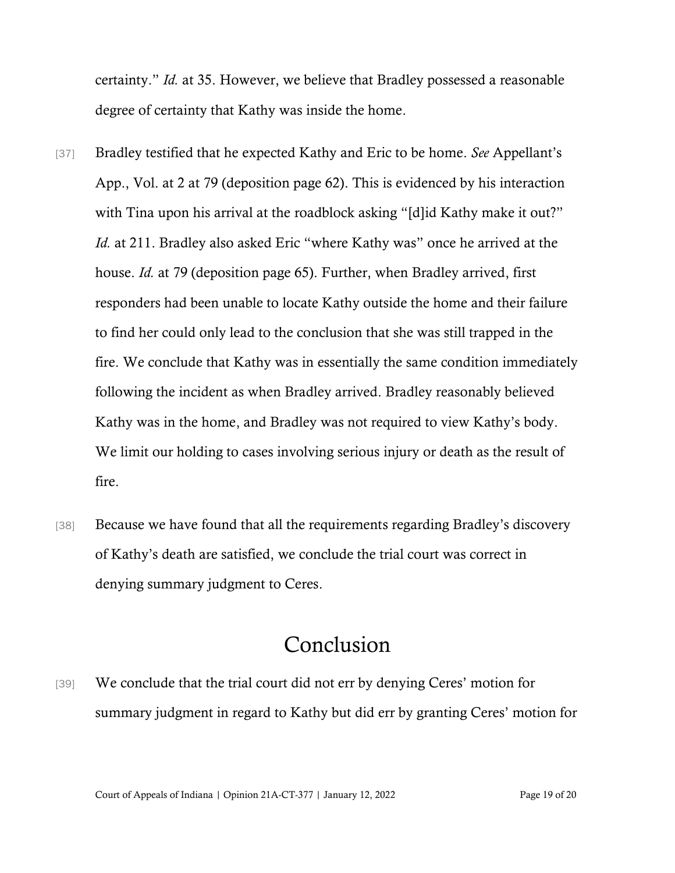certainty." *Id.* at 35. However, we believe that Bradley possessed a reasonable degree of certainty that Kathy was inside the home.

- [37] Bradley testified that he expected Kathy and Eric to be home. *See* Appellant's App., Vol. at 2 at 79 (deposition page 62). This is evidenced by his interaction with Tina upon his arrival at the roadblock asking "[d]id Kathy make it out?" *Id.* at 211. Bradley also asked Eric "where Kathy was" once he arrived at the house. *Id.* at 79 (deposition page 65). Further, when Bradley arrived, first responders had been unable to locate Kathy outside the home and their failure to find her could only lead to the conclusion that she was still trapped in the fire. We conclude that Kathy was in essentially the same condition immediately following the incident as when Bradley arrived. Bradley reasonably believed Kathy was in the home, and Bradley was not required to view Kathy's body. We limit our holding to cases involving serious injury or death as the result of fire.
- [38] Because we have found that all the requirements regarding Bradley's discovery of Kathy's death are satisfied, we conclude the trial court was correct in denying summary judgment to Ceres.

## Conclusion

[39] We conclude that the trial court did not err by denying Ceres' motion for summary judgment in regard to Kathy but did err by granting Ceres' motion for